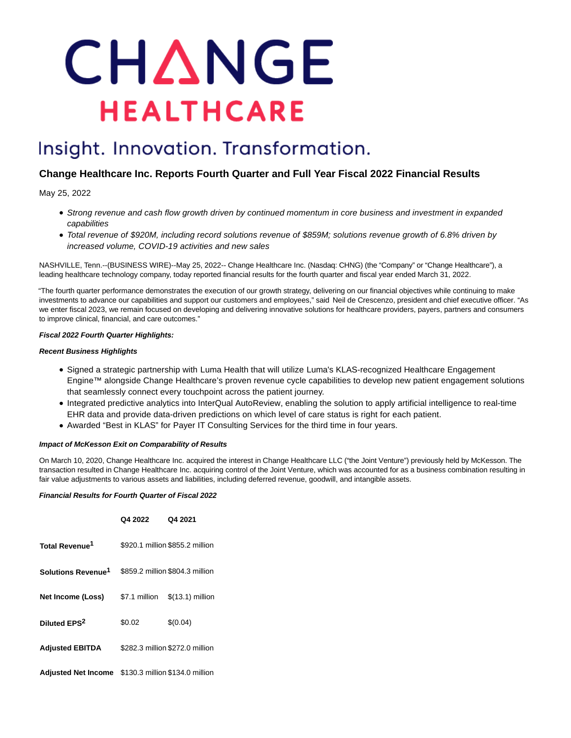# CHANGE **HEALTHCARE**

# Insight. Innovation. Transformation.

# **Change Healthcare Inc. Reports Fourth Quarter and Full Year Fiscal 2022 Financial Results**

May 25, 2022

- Strong revenue and cash flow growth driven by continued momentum in core business and investment in expanded capabilities
- Total revenue of \$920M, including record solutions revenue of \$859M; solutions revenue growth of 6.8% driven by increased volume, COVID-19 activities and new sales

NASHVILLE, Tenn.--(BUSINESS WIRE)--May 25, 2022-- Change Healthcare Inc. (Nasdaq: CHNG) (the "Company" or "Change Healthcare"), a leading healthcare technology company, today reported financial results for the fourth quarter and fiscal year ended March 31, 2022.

"The fourth quarter performance demonstrates the execution of our growth strategy, delivering on our financial objectives while continuing to make investments to advance our capabilities and support our customers and employees," said Neil de Crescenzo, president and chief executive officer. "As we enter fiscal 2023, we remain focused on developing and delivering innovative solutions for healthcare providers, payers, partners and consumers to improve clinical, financial, and care outcomes."

# **Fiscal 2022 Fourth Quarter Highlights:**

# **Recent Business Highlights**

- Signed a strategic partnership with Luma Health that will utilize Luma's KLAS-recognized Healthcare Engagement Engine™ alongside Change Healthcare's proven revenue cycle capabilities to develop new patient engagement solutions that seamlessly connect every touchpoint across the patient journey.
- Integrated predictive analytics into InterQual AutoReview, enabling the solution to apply artificial intelligence to real-time EHR data and provide data-driven predictions on which level of care status is right for each patient.
- Awarded "Best in KLAS" for Payer IT Consulting Services for the third time in four years.

# **Impact of McKesson Exit on Comparability of Results**

On March 10, 2020, Change Healthcare Inc. acquired the interest in Change Healthcare LLC ("the Joint Venture") previously held by McKesson. The transaction resulted in Change Healthcare Inc. acquiring control of the Joint Venture, which was accounted for as a business combination resulting in fair value adjustments to various assets and liabilities, including deferred revenue, goodwill, and intangible assets.

### **Financial Results for Fourth Quarter of Fiscal 2022**

|                                                     | Q4 2022       | Q4 2021                         |
|-----------------------------------------------------|---------------|---------------------------------|
| Total Revenue <sup>1</sup>                          |               | \$920.1 million \$855.2 million |
| Solutions Revenue <sup>1</sup>                      |               | \$859.2 million \$804.3 million |
| Net Income (Loss)                                   | \$7.1 million | $$(13.1)$ million               |
| Diluted EPS <sup>2</sup>                            | \$0.02        | \$(0.04)                        |
| <b>Adjusted EBITDA</b>                              |               | \$282.3 million \$272.0 million |
| Adjusted Net Income \$130.3 million \$134.0 million |               |                                 |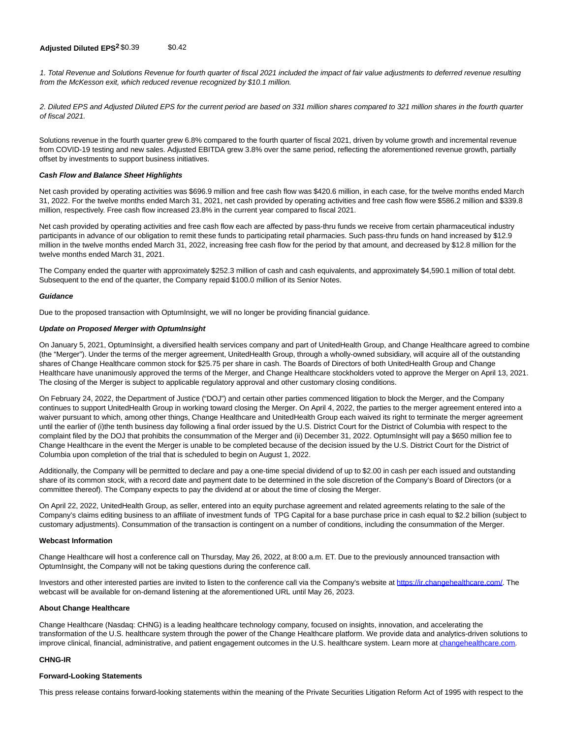# **Adjusted Diluted EPS<sup>2</sup> \$0.39 \$0.42**

1. Total Revenue and Solutions Revenue for fourth quarter of fiscal 2021 included the impact of fair value adjustments to deferred revenue resulting from the McKesson exit, which reduced revenue recognized by \$10.1 million.

2. Diluted EPS and Adjusted Diluted EPS for the current period are based on 331 million shares compared to 321 million shares in the fourth quarter of fiscal 2021.

Solutions revenue in the fourth quarter grew 6.8% compared to the fourth quarter of fiscal 2021, driven by volume growth and incremental revenue from COVID-19 testing and new sales. Adjusted EBITDA grew 3.8% over the same period, reflecting the aforementioned revenue growth, partially offset by investments to support business initiatives.

#### **Cash Flow and Balance Sheet Highlights**

Net cash provided by operating activities was \$696.9 million and free cash flow was \$420.6 million, in each case, for the twelve months ended March 31, 2022. For the twelve months ended March 31, 2021, net cash provided by operating activities and free cash flow were \$586.2 million and \$339.8 million, respectively. Free cash flow increased 23.8% in the current year compared to fiscal 2021.

Net cash provided by operating activities and free cash flow each are affected by pass-thru funds we receive from certain pharmaceutical industry participants in advance of our obligation to remit these funds to participating retail pharmacies. Such pass-thru funds on hand increased by \$12.9 million in the twelve months ended March 31, 2022, increasing free cash flow for the period by that amount, and decreased by \$12.8 million for the twelve months ended March 31, 2021.

The Company ended the quarter with approximately \$252.3 million of cash and cash equivalents, and approximately \$4,590.1 million of total debt. Subsequent to the end of the quarter, the Company repaid \$100.0 million of its Senior Notes.

#### **Guidance**

Due to the proposed transaction with OptumInsight, we will no longer be providing financial guidance.

#### **Update on Proposed Merger with OptumInsight**

On January 5, 2021, OptumInsight, a diversified health services company and part of UnitedHealth Group, and Change Healthcare agreed to combine (the "Merger"). Under the terms of the merger agreement, UnitedHealth Group, through a wholly-owned subsidiary, will acquire all of the outstanding shares of Change Healthcare common stock for \$25.75 per share in cash. The Boards of Directors of both UnitedHealth Group and Change Healthcare have unanimously approved the terms of the Merger, and Change Healthcare stockholders voted to approve the Merger on April 13, 2021. The closing of the Merger is subject to applicable regulatory approval and other customary closing conditions.

On February 24, 2022, the Department of Justice ("DOJ") and certain other parties commenced litigation to block the Merger, and the Company continues to support UnitedHealth Group in working toward closing the Merger. On April 4, 2022, the parties to the merger agreement entered into a waiver pursuant to which, among other things, Change Healthcare and UnitedHealth Group each waived its right to terminate the merger agreement until the earlier of (i)the tenth business day following a final order issued by the U.S. District Court for the District of Columbia with respect to the complaint filed by the DOJ that prohibits the consummation of the Merger and (ii) December 31, 2022. OptumInsight will pay a \$650 million fee to Change Healthcare in the event the Merger is unable to be completed because of the decision issued by the U.S. District Court for the District of Columbia upon completion of the trial that is scheduled to begin on August 1, 2022.

Additionally, the Company will be permitted to declare and pay a one-time special dividend of up to \$2.00 in cash per each issued and outstanding share of its common stock, with a record date and payment date to be determined in the sole discretion of the Company's Board of Directors (or a committee thereof). The Company expects to pay the dividend at or about the time of closing the Merger.

On April 22, 2022, UnitedHealth Group, as seller, entered into an equity purchase agreement and related agreements relating to the sale of the Company's claims editing business to an affiliate of investment funds of TPG Capital for a base purchase price in cash equal to \$2.2 billion (subject to customary adjustments). Consummation of the transaction is contingent on a number of conditions, including the consummation of the Merger.

#### **Webcast Information**

Change Healthcare will host a conference call on Thursday, May 26, 2022, at 8:00 a.m. ET. Due to the previously announced transaction with OptumInsight, the Company will not be taking questions during the conference call.

Investors and other interested parties are invited to listen to the conference call via the Company's website at [https://ir.changehealthcare.com/.](https://cts.businesswire.com/ct/CT?id=smartlink&url=https%3A%2F%2Fir.changehealthcare.com%2F&esheet=52729475&newsitemid=20220525005117&lan=en-US&anchor=https%3A%2F%2Fir.changehealthcare.com%2F&index=1&md5=19440d67de3cccaad8eeec44f6c8bbd0) The webcast will be available for on-demand listening at the aforementioned URL until May 26, 2023.

#### **About Change Healthcare**

Change Healthcare (Nasdaq: CHNG) is a leading healthcare technology company, focused on insights, innovation, and accelerating the transformation of the U.S. healthcare system through the power of the Change Healthcare platform. We provide data and analytics-driven solutions to improve clinical, financial, administrative, and patient engagement outcomes in the U.S. healthcare system. Learn more at [changehealthcare.com.](https://cts.businesswire.com/ct/CT?id=smartlink&url=http%3A%2F%2Fwww.changehealthcare.com&esheet=52729475&newsitemid=20220525005117&lan=en-US&anchor=changehealthcare.com&index=2&md5=c07dc2db8aa5abe221a7524167f557e3)

### **CHNG-IR**

#### **Forward-Looking Statements**

This press release contains forward-looking statements within the meaning of the Private Securities Litigation Reform Act of 1995 with respect to the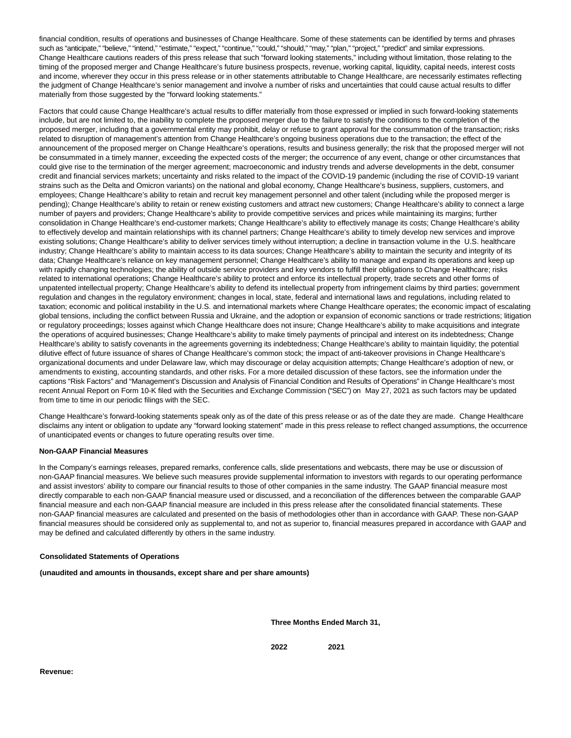financial condition, results of operations and businesses of Change Healthcare. Some of these statements can be identified by terms and phrases such as "anticipate," "believe," "intend," "estimate," "expect," "continue," "could," "should," "may," "plan," "project," "predict" and similar expressions. Change Healthcare cautions readers of this press release that such "forward looking statements," including without limitation, those relating to the timing of the proposed merger and Change Healthcare's future business prospects, revenue, working capital, liquidity, capital needs, interest costs and income, wherever they occur in this press release or in other statements attributable to Change Healthcare, are necessarily estimates reflecting the judgment of Change Healthcare's senior management and involve a number of risks and uncertainties that could cause actual results to differ materially from those suggested by the "forward looking statements."

Factors that could cause Change Healthcare's actual results to differ materially from those expressed or implied in such forward-looking statements include, but are not limited to, the inability to complete the proposed merger due to the failure to satisfy the conditions to the completion of the proposed merger, including that a governmental entity may prohibit, delay or refuse to grant approval for the consummation of the transaction; risks related to disruption of management's attention from Change Healthcare's ongoing business operations due to the transaction; the effect of the announcement of the proposed merger on Change Healthcare's operations, results and business generally; the risk that the proposed merger will not be consummated in a timely manner, exceeding the expected costs of the merger; the occurrence of any event, change or other circumstances that could give rise to the termination of the merger agreement; macroeconomic and industry trends and adverse developments in the debt, consumer credit and financial services markets; uncertainty and risks related to the impact of the COVID-19 pandemic (including the rise of COVID-19 variant strains such as the Delta and Omicron variants) on the national and global economy, Change Healthcare's business, suppliers, customers, and employees; Change Healthcare's ability to retain and recruit key management personnel and other talent (including while the proposed merger is pending); Change Healthcare's ability to retain or renew existing customers and attract new customers; Change Healthcare's ability to connect a large number of payers and providers; Change Healthcare's ability to provide competitive services and prices while maintaining its margins; further consolidation in Change Healthcare's end-customer markets; Change Healthcare's ability to effectively manage its costs; Change Healthcare's ability to effectively develop and maintain relationships with its channel partners; Change Healthcare's ability to timely develop new services and improve existing solutions; Change Healthcare's ability to deliver services timely without interruption; a decline in transaction volume in the U.S. healthcare industry; Change Healthcare's ability to maintain access to its data sources; Change Healthcare's ability to maintain the security and integrity of its data; Change Healthcare's reliance on key management personnel; Change Healthcare's ability to manage and expand its operations and keep up with rapidly changing technologies; the ability of outside service providers and key vendors to fulfill their obligations to Change Healthcare; risks related to international operations; Change Healthcare's ability to protect and enforce its intellectual property, trade secrets and other forms of unpatented intellectual property; Change Healthcare's ability to defend its intellectual property from infringement claims by third parties; government regulation and changes in the regulatory environment; changes in local, state, federal and international laws and regulations, including related to taxation; economic and political instability in the U.S. and international markets where Change Healthcare operates; the economic impact of escalating global tensions, including the conflict between Russia and Ukraine, and the adoption or expansion of economic sanctions or trade restrictions; litigation or regulatory proceedings; losses against which Change Healthcare does not insure; Change Healthcare's ability to make acquisitions and integrate the operations of acquired businesses; Change Healthcare's ability to make timely payments of principal and interest on its indebtedness; Change Healthcare's ability to satisfy covenants in the agreements governing its indebtedness; Change Healthcare's ability to maintain liquidity; the potential dilutive effect of future issuance of shares of Change Healthcare's common stock; the impact of anti-takeover provisions in Change Healthcare's organizational documents and under Delaware law, which may discourage or delay acquisition attempts; Change Healthcare's adoption of new, or amendments to existing, accounting standards, and other risks. For a more detailed discussion of these factors, see the information under the captions "Risk Factors" and "Management's Discussion and Analysis of Financial Condition and Results of Operations" in Change Healthcare's most recent Annual Report on Form 10-K filed with the Securities and Exchange Commission ("SEC") on May 27, 2021 as such factors may be updated from time to time in our periodic filings with the SEC.

Change Healthcare's forward-looking statements speak only as of the date of this press release or as of the date they are made. Change Healthcare disclaims any intent or obligation to update any "forward looking statement" made in this press release to reflect changed assumptions, the occurrence of unanticipated events or changes to future operating results over time.

# **Non-GAAP Financial Measures**

In the Company's earnings releases, prepared remarks, conference calls, slide presentations and webcasts, there may be use or discussion of non-GAAP financial measures. We believe such measures provide supplemental information to investors with regards to our operating performance and assist investors' ability to compare our financial results to those of other companies in the same industry. The GAAP financial measure most directly comparable to each non-GAAP financial measure used or discussed, and a reconciliation of the differences between the comparable GAAP financial measure and each non-GAAP financial measure are included in this press release after the consolidated financial statements. These non-GAAP financial measures are calculated and presented on the basis of methodologies other than in accordance with GAAP. These non-GAAP financial measures should be considered only as supplemental to, and not as superior to, financial measures prepared in accordance with GAAP and may be defined and calculated differently by others in the same industry.

#### **Consolidated Statements of Operations**

**(unaudited and amounts in thousands, except share and per share amounts)**

**Three Months Ended March 31,**

**2022 2021**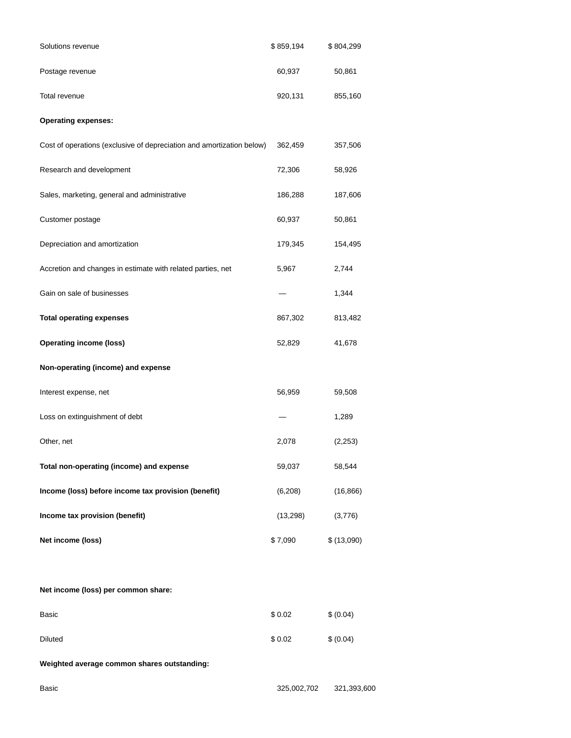| Solutions revenue                                                     | \$859,194 | \$804,299  |
|-----------------------------------------------------------------------|-----------|------------|
| Postage revenue                                                       | 60,937    | 50,861     |
| Total revenue                                                         | 920,131   | 855,160    |
| <b>Operating expenses:</b>                                            |           |            |
| Cost of operations (exclusive of depreciation and amortization below) | 362,459   | 357,506    |
| Research and development                                              | 72,306    | 58,926     |
| Sales, marketing, general and administrative                          | 186,288   | 187,606    |
| Customer postage                                                      | 60,937    | 50,861     |
| Depreciation and amortization                                         | 179,345   | 154,495    |
| Accretion and changes in estimate with related parties, net           | 5,967     | 2,744      |
| Gain on sale of businesses                                            |           | 1,344      |
| <b>Total operating expenses</b>                                       | 867,302   | 813,482    |
| <b>Operating income (loss)</b>                                        | 52,829    | 41,678     |
| Non-operating (income) and expense                                    |           |            |
| Interest expense, net                                                 | 56,959    | 59,508     |
| Loss on extinguishment of debt                                        |           | 1,289      |
| Other, net                                                            | 2,078     | (2, 253)   |
| Total non-operating (income) and expense                              | 59,037    | 58,544     |
| Income (loss) before income tax provision (benefit)                   | (6, 208)  | (16, 866)  |
| Income tax provision (benefit)                                        | (13, 298) | (3,776)    |
| Net income (loss)                                                     | \$7,090   | \$(13,090) |
|                                                                       |           |            |
| Net income (loss) per common share:                                   |           |            |
| Basic                                                                 | \$0.02    | \$ (0.04)  |
| Diluted                                                               | \$0.02    | \$ (0.04)  |

**Weighted average common shares outstanding:**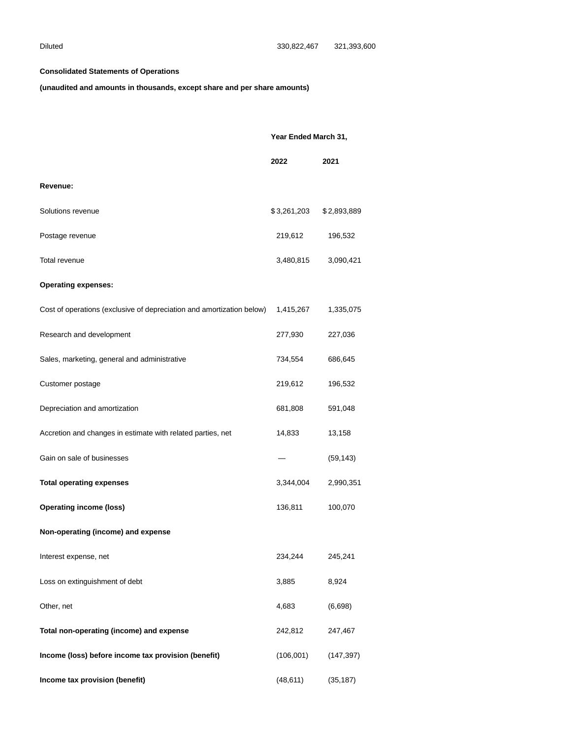# **Consolidated Statements of Operations**

**(unaudited and amounts in thousands, except share and per share amounts)**

|                                                                       | Year Ended March 31, |             |
|-----------------------------------------------------------------------|----------------------|-------------|
|                                                                       | 2022                 | 2021        |
| Revenue:                                                              |                      |             |
| Solutions revenue                                                     | \$3,261,203          | \$2,893,889 |
| Postage revenue                                                       | 219,612              | 196,532     |
| Total revenue                                                         | 3,480,815            | 3,090,421   |
| <b>Operating expenses:</b>                                            |                      |             |
| Cost of operations (exclusive of depreciation and amortization below) | 1,415,267            | 1,335,075   |
| Research and development                                              | 277,930              | 227,036     |
| Sales, marketing, general and administrative                          | 734,554              | 686,645     |
| Customer postage                                                      | 219,612              | 196,532     |
| Depreciation and amortization                                         | 681,808              | 591,048     |
| Accretion and changes in estimate with related parties, net           | 14,833               | 13,158      |
| Gain on sale of businesses                                            |                      | (59, 143)   |
| <b>Total operating expenses</b>                                       | 3,344,004            | 2,990,351   |
| <b>Operating income (loss)</b>                                        | 136,811              | 100,070     |
| Non-operating (income) and expense                                    |                      |             |
| Interest expense, net                                                 | 234,244              | 245,241     |
| Loss on extinguishment of debt                                        | 3,885                | 8,924       |
| Other, net                                                            | 4,683                | (6,698)     |
| Total non-operating (income) and expense                              | 242,812              | 247,467     |
| Income (loss) before income tax provision (benefit)                   | (106, 001)           | (147, 397)  |
| Income tax provision (benefit)                                        | (48, 611)            | (35, 187)   |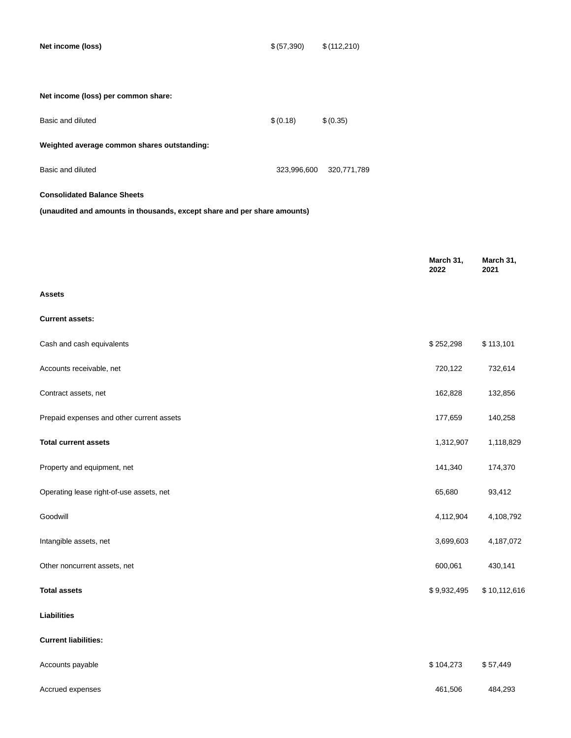**Net income (loss)**  $$(57,390)$   $$(112,210)$ 

| Net income (loss) per common share: |  |
|-------------------------------------|--|
|                                     |  |

| Basic and diluted                           | \$(0.18)    | \$(0.35)    |
|---------------------------------------------|-------------|-------------|
| Weighted average common shares outstanding: |             |             |
| Basic and diluted                           | 323.996.600 | 320,771,789 |

# **Consolidated Balance Sheets**

**(unaudited and amounts in thousands, except share and per share amounts)**

|                                           | March 31,<br>2022 | March 31,<br>2021 |
|-------------------------------------------|-------------------|-------------------|
| <b>Assets</b>                             |                   |                   |
| <b>Current assets:</b>                    |                   |                   |
| Cash and cash equivalents                 | \$252,298         | \$113,101         |
| Accounts receivable, net                  | 720,122           | 732,614           |
| Contract assets, net                      | 162,828           | 132,856           |
| Prepaid expenses and other current assets | 177,659           | 140,258           |
| <b>Total current assets</b>               | 1,312,907         | 1,118,829         |
| Property and equipment, net               | 141,340           | 174,370           |
| Operating lease right-of-use assets, net  | 65,680            | 93,412            |
| Goodwill                                  | 4,112,904         | 4,108,792         |
| Intangible assets, net                    | 3,699,603         | 4,187,072         |
| Other noncurrent assets, net              | 600,061           | 430,141           |
| <b>Total assets</b>                       | \$9,932,495       | \$10,112,616      |
| <b>Liabilities</b>                        |                   |                   |
| <b>Current liabilities:</b>               |                   |                   |
| Accounts payable                          | \$104,273         | \$57,449          |

Accrued expenses 484,293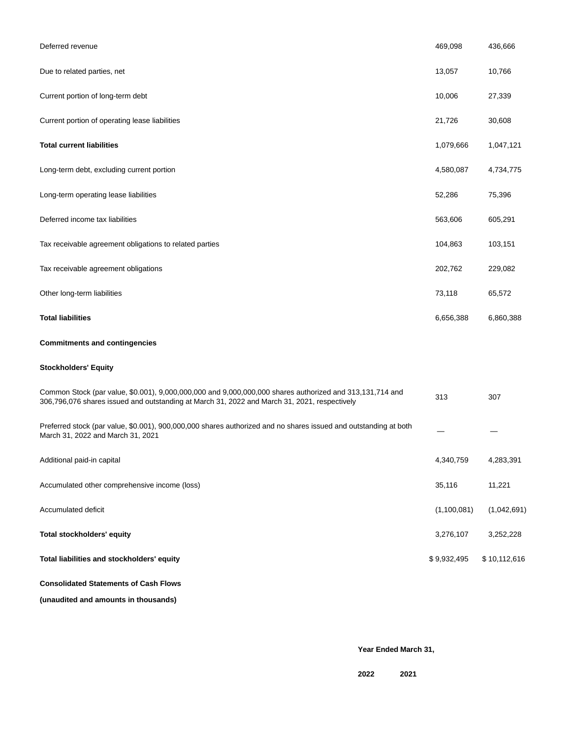| Deferred revenue                                                                                                                                                                                         | 469,098     | 436,666      |
|----------------------------------------------------------------------------------------------------------------------------------------------------------------------------------------------------------|-------------|--------------|
| Due to related parties, net                                                                                                                                                                              | 13,057      | 10,766       |
| Current portion of long-term debt                                                                                                                                                                        | 10,006      | 27,339       |
| Current portion of operating lease liabilities                                                                                                                                                           | 21,726      | 30,608       |
| <b>Total current liabilities</b>                                                                                                                                                                         | 1,079,666   | 1,047,121    |
| Long-term debt, excluding current portion                                                                                                                                                                | 4,580,087   | 4,734,775    |
| Long-term operating lease liabilities                                                                                                                                                                    | 52,286      | 75,396       |
| Deferred income tax liabilities                                                                                                                                                                          | 563,606     | 605,291      |
| Tax receivable agreement obligations to related parties                                                                                                                                                  | 104,863     | 103,151      |
| Tax receivable agreement obligations                                                                                                                                                                     | 202,762     | 229,082      |
| Other long-term liabilities                                                                                                                                                                              | 73,118      | 65,572       |
| <b>Total liabilities</b>                                                                                                                                                                                 | 6,656,388   | 6,860,388    |
| <b>Commitments and contingencies</b>                                                                                                                                                                     |             |              |
| <b>Stockholders' Equity</b>                                                                                                                                                                              |             |              |
| Common Stock (par value, \$0.001), 9,000,000,000 and 9,000,000,000 shares authorized and 313,131,714 and<br>306,796,076 shares issued and outstanding at March 31, 2022 and March 31, 2021, respectively | 313         | 307          |
| Preferred stock (par value, \$0.001), 900,000,000 shares authorized and no shares issued and outstanding at both<br>March 31, 2022 and March 31, 2021                                                    |             |              |
| Additional paid-in capital                                                                                                                                                                               | 4,340,759   | 4,283,391    |
| Accumulated other comprehensive income (loss)                                                                                                                                                            | 35,116      | 11,221       |
| Accumulated deficit                                                                                                                                                                                      | (1,100,081) | (1,042,691)  |
| Total stockholders' equity                                                                                                                                                                               | 3,276,107   | 3,252,228    |
| Total liabilities and stockholders' equity                                                                                                                                                               | \$9,932,495 | \$10,112,616 |
| <b>Consolidated Statements of Cash Flows</b>                                                                                                                                                             |             |              |
| (unaudited and amounts in thousands)                                                                                                                                                                     |             |              |

**Year Ended March 31,**

**2022 2021**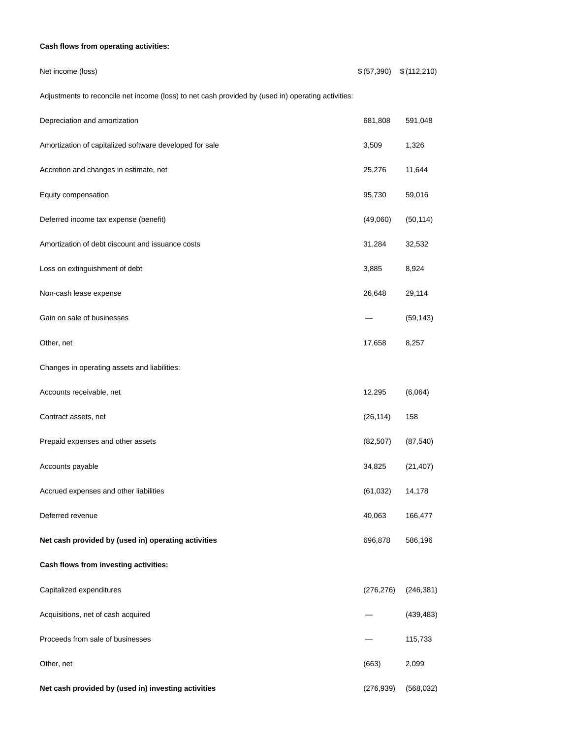# **Cash flows from operating activities:**

# Net income (loss) \$ (57,390) \$ (112,210)

Adjustments to reconcile net income (loss) to net cash provided by (used in) operating activities:

| Depreciation and amortization                           | 681,808    | 591,048    |
|---------------------------------------------------------|------------|------------|
| Amortization of capitalized software developed for sale | 3,509      | 1,326      |
| Accretion and changes in estimate, net                  | 25,276     | 11,644     |
| Equity compensation                                     | 95,730     | 59,016     |
| Deferred income tax expense (benefit)                   | (49,060)   | (50, 114)  |
| Amortization of debt discount and issuance costs        | 31,284     | 32,532     |
| Loss on extinguishment of debt                          | 3,885      | 8,924      |
| Non-cash lease expense                                  | 26,648     | 29,114     |
| Gain on sale of businesses                              |            | (59, 143)  |
| Other, net                                              | 17,658     | 8,257      |
| Changes in operating assets and liabilities:            |            |            |
| Accounts receivable, net                                | 12,295     | (6,064)    |
| Contract assets, net                                    | (26, 114)  | 158        |
| Prepaid expenses and other assets                       | (82, 507)  | (87, 540)  |
| Accounts payable                                        | 34,825     | (21, 407)  |
| Accrued expenses and other liabilities                  | (61, 032)  | 14,178     |
| Deferred revenue                                        | 40,063     | 166,477    |
| Net cash provided by (used in) operating activities     | 696,878    | 586,196    |
| Cash flows from investing activities:                   |            |            |
| Capitalized expenditures                                | (276, 276) | (246, 381) |
| Acquisitions, net of cash acquired                      |            | (439, 483) |
| Proceeds from sale of businesses                        |            | 115,733    |
| Other, net                                              | (663)      | 2,099      |
| Net cash provided by (used in) investing activities     | (276, 939) | (568, 032) |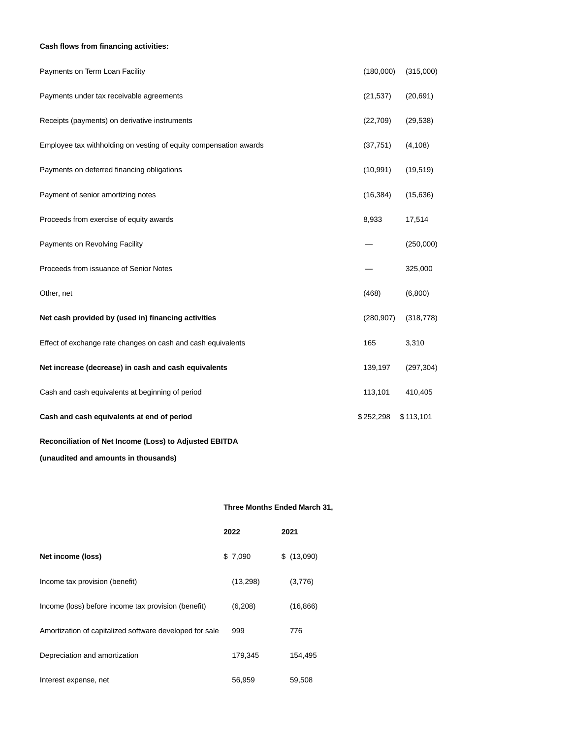# **Cash flows from financing activities:**

| Payments on Term Loan Facility                                    | (180,000)  | (315,000)  |
|-------------------------------------------------------------------|------------|------------|
| Payments under tax receivable agreements                          | (21, 537)  | (20, 691)  |
| Receipts (payments) on derivative instruments                     | (22, 709)  | (29, 538)  |
| Employee tax withholding on vesting of equity compensation awards | (37, 751)  | (4, 108)   |
| Payments on deferred financing obligations                        | (10, 991)  | (19, 519)  |
| Payment of senior amortizing notes                                | (16, 384)  | (15, 636)  |
| Proceeds from exercise of equity awards                           | 8,933      | 17,514     |
| Payments on Revolving Facility                                    |            | (250,000)  |
| Proceeds from issuance of Senior Notes                            |            | 325,000    |
| Other, net                                                        | (468)      | (6,800)    |
| Net cash provided by (used in) financing activities               | (280, 907) | (318, 778) |
| Effect of exchange rate changes on cash and cash equivalents      | 165        | 3,310      |
| Net increase (decrease) in cash and cash equivalents              | 139,197    | (297, 304) |
| Cash and cash equivalents at beginning of period                  | 113,101    | 410,405    |
| Cash and cash equivalents at end of period                        | \$252,298  | \$113,101  |

# **Reconciliation of Net Income (Loss) to Adjusted EBITDA**

**(unaudited and amounts in thousands)**

# **Three Months Ended March 31,**

|                                                         | 2022      | 2021       |
|---------------------------------------------------------|-----------|------------|
| Net income (loss)                                       | \$7,090   | \$(13,090) |
| Income tax provision (benefit)                          | (13, 298) | (3,776)    |
| Income (loss) before income tax provision (benefit)     | (6,208)   | (16, 866)  |
| Amortization of capitalized software developed for sale | 999       | 776        |
| Depreciation and amortization                           | 179,345   | 154,495    |
| Interest expense, net                                   | 56,959    | 59,508     |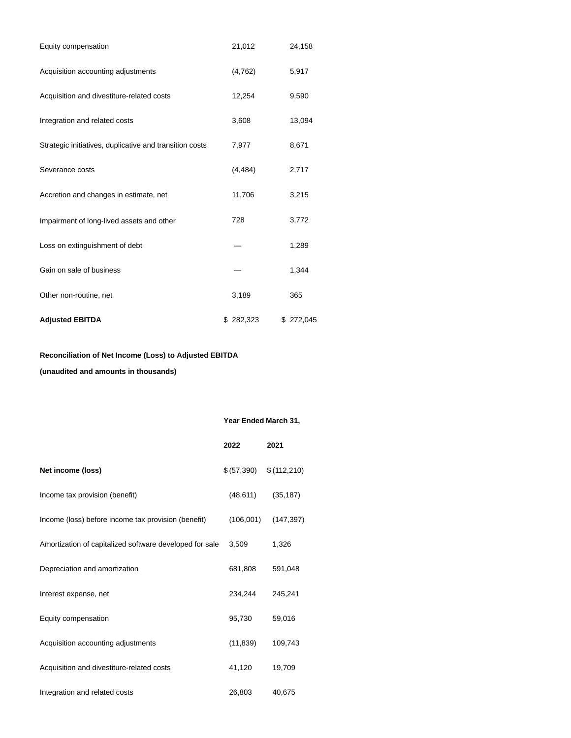| Equity compensation                                     | 21,012    | 24,158    |
|---------------------------------------------------------|-----------|-----------|
| Acquisition accounting adjustments                      | (4, 762)  | 5,917     |
| Acquisition and divestiture-related costs               | 12,254    | 9,590     |
| Integration and related costs                           | 3,608     | 13,094    |
| Strategic initiatives, duplicative and transition costs | 7,977     | 8,671     |
| Severance costs                                         | (4, 484)  | 2,717     |
| Accretion and changes in estimate, net                  | 11,706    | 3,215     |
| Impairment of long-lived assets and other               | 728       | 3,772     |
| Loss on extinguishment of debt                          |           | 1,289     |
| Gain on sale of business                                |           | 1,344     |
| Other non-routine, net                                  | 3,189     | 365       |
| <b>Adjusted EBITDA</b>                                  | \$282,323 | \$272,045 |

# **Reconciliation of Net Income (Loss) to Adjusted EBITDA**

**(unaudited and amounts in thousands)**

# **Year Ended March 31,**

|                                                         | 2022       | 2021        |
|---------------------------------------------------------|------------|-------------|
| Net income (loss)                                       | \$(57,390) | \$(112,210) |
| Income tax provision (benefit)                          | (48, 611)  | (35, 187)   |
| Income (loss) before income tax provision (benefit)     | (106,001)  | (147, 397)  |
| Amortization of capitalized software developed for sale | 3,509      | 1,326       |
| Depreciation and amortization                           | 681,808    | 591,048     |
| Interest expense, net                                   | 234,244    | 245,241     |
| Equity compensation                                     | 95,730     | 59,016      |
| Acquisition accounting adjustments                      | (11, 839)  | 109,743     |
| Acquisition and divestiture-related costs               | 41,120     | 19,709      |
| Integration and related costs                           | 26,803     | 40,675      |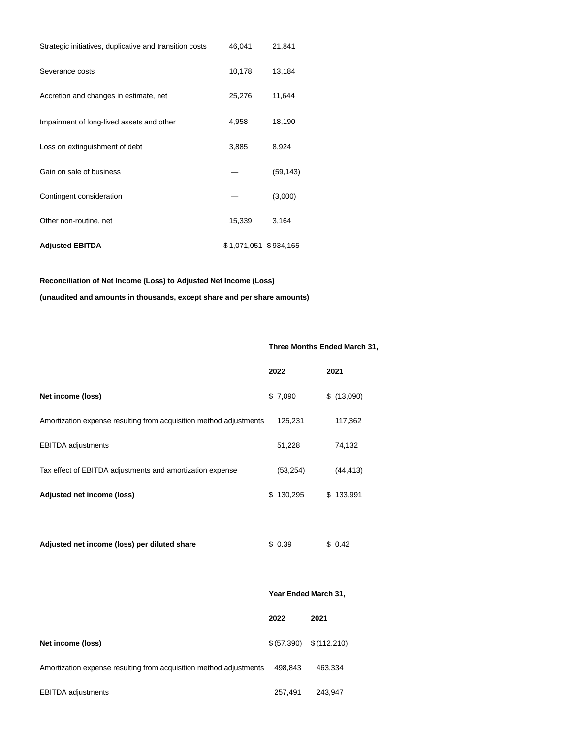| Strategic initiatives, duplicative and transition costs | 46,041                | 21,841    |
|---------------------------------------------------------|-----------------------|-----------|
| Severance costs                                         | 10,178                | 13,184    |
| Accretion and changes in estimate, net                  | 25,276                | 11,644    |
| Impairment of long-lived assets and other               | 4,958                 | 18,190    |
| Loss on extinguishment of debt                          | 3,885                 | 8,924     |
| Gain on sale of business                                |                       | (59, 143) |
| Contingent consideration                                |                       | (3,000)   |
| Other non-routine, net                                  | 15,339                | 3,164     |
| <b>Adjusted EBITDA</b>                                  | \$1,071,051 \$934,165 |           |

# **Reconciliation of Net Income (Loss) to Adjusted Net Income (Loss)**

**(unaudited and amounts in thousands, except share and per share amounts)**

# **Three Months Ended March 31,**

|                                                                    | 2022      | 2021       |
|--------------------------------------------------------------------|-----------|------------|
| Net income (loss)                                                  | \$7,090   | \$(13,090) |
| Amortization expense resulting from acquisition method adjustments | 125,231   | 117,362    |
| <b>EBITDA</b> adjustments                                          | 51,228    | 74,132     |
| Tax effect of EBITDA adjustments and amortization expense          | (53, 254) | (44, 413)  |
| Adjusted net income (loss)                                         | \$130,295 | \$133,991  |
|                                                                    |           |            |

| Adjusted net income (loss) per diluted share | \$0.39 | \$0.42 |
|----------------------------------------------|--------|--------|
|----------------------------------------------|--------|--------|

|                                                                    | Year Ended March 31, |             |  |
|--------------------------------------------------------------------|----------------------|-------------|--|
|                                                                    | 2022                 | 2021        |  |
| Net income (loss)                                                  | \$ (57,390)          | \$(112,210) |  |
| Amortization expense resulting from acquisition method adjustments | 498,843              | 463,334     |  |
| <b>EBITDA</b> adjustments                                          | 257,491              | 243,947     |  |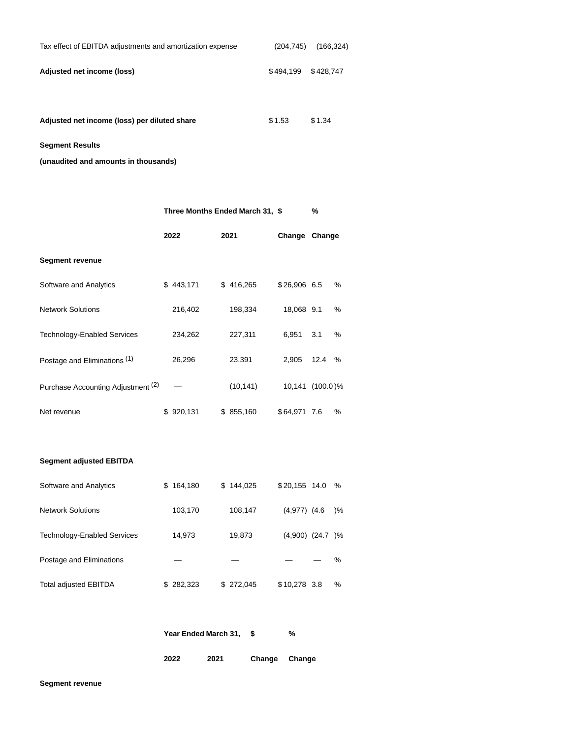| Tax effect of EBITDA adjustments and amortization expense | (204.745)           | (166, 324) |
|-----------------------------------------------------------|---------------------|------------|
| Adjusted net income (loss)                                | \$494.199 \$428.747 |            |
|                                                           |                     |            |

Adjusted net income (loss) per diluted share \$1.53 \$1.34

**Segment Results**

**(unaudited and amounts in thousands)**

|                                    | Three Months Ended March 31, \$ |                      |           | %                  |      |               |
|------------------------------------|---------------------------------|----------------------|-----------|--------------------|------|---------------|
|                                    |                                 | 2022                 | 2021      | Change Change      |      |               |
| <b>Segment revenue</b>             |                                 |                      |           |                    |      |               |
| Software and Analytics             |                                 | \$443,171            | \$416,265 | \$26,906 6.5       |      | %             |
| <b>Network Solutions</b>           |                                 | 216,402              | 198,334   | 18,068 9.1         |      | ℅             |
| Technology-Enabled Services        |                                 | 234,262              | 227,311   | 6,951              | 3.1  | %             |
| Postage and Eliminations (1)       |                                 | 26,296               | 23,391    | 2,905              | 12.4 | %             |
| Purchase Accounting Adjustment (2) |                                 |                      | (10, 141) | 10,141 (100.0)%    |      |               |
| Net revenue                        |                                 | \$920,131            | \$855,160 | \$64,971 7.6       |      | %             |
| <b>Segment adjusted EBITDA</b>     |                                 |                      |           |                    |      |               |
| Software and Analytics             |                                 | \$164,180            | \$144,025 | \$20,155 14.0      |      | %             |
| <b>Network Solutions</b>           |                                 | 103,170              | 108,147   | $(4,977)$ $(4.6)$  |      | $\frac{9}{6}$ |
| <b>Technology-Enabled Services</b> |                                 | 14,973               | 19,873    | $(4,900)$ $(24.7)$ |      | $)\%$         |
| Postage and Eliminations           |                                 |                      |           |                    |      | %             |
| Total adjusted EBITDA              |                                 | \$282,323            | \$272,045 | $$10,278$ 3.8      |      | %             |
|                                    |                                 | Year Ended March 31, | \$        | %                  |      |               |

| 2022 | 2021 | Change | Change |
|------|------|--------|--------|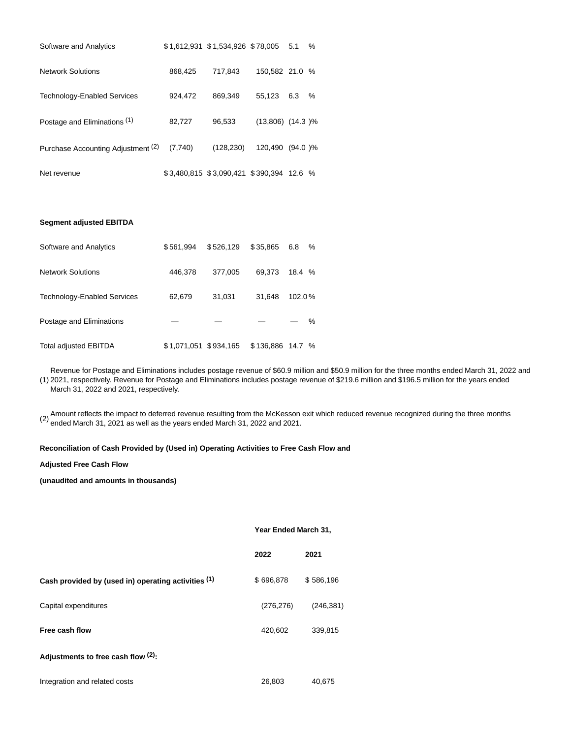| Software and Analytics             |         | \$1,612,931 \$1,534,926 \$78,005 5.1     |                       |     | $\%$ |
|------------------------------------|---------|------------------------------------------|-----------------------|-----|------|
| <b>Network Solutions</b>           | 868,425 | 717.843                                  | 150.582 21.0 %        |     |      |
| <b>Technology-Enabled Services</b> | 924,472 | 869,349                                  | 55.123                | 6.3 | $\%$ |
| Postage and Eliminations (1)       | 82,727  | 96.533                                   | $(13,806)$ $(14.3)$ % |     |      |
| Purchase Accounting Adjustment (2) | (7,740) | (128, 230)                               | 120.490 (94.0)%       |     |      |
| Net revenue                        |         | \$3,480,815 \$3,090,421 \$390,394 12.6 % |                       |     |      |

# **Segment adjusted EBITDA**

| Software and Analytics             | \$561,994             | \$526.129 | \$35.865         | 6.8    | $\%$ |
|------------------------------------|-----------------------|-----------|------------------|--------|------|
| <b>Network Solutions</b>           | 446,378               | 377.005   | 69.373           | 18.4 % |      |
| <b>Technology-Enabled Services</b> | 62,679                | 31.031    | 31.648           | 102.0% |      |
| Postage and Eliminations           |                       |           |                  |        | %    |
| <b>Total adjusted EBITDA</b>       | \$1,071,051 \$934,165 |           | \$136,886 14.7 % |        |      |

(1) 2021, respectively. Revenue for Postage and Eliminations includes postage revenue of \$219.6 million and \$196.5 million for the years ended Revenue for Postage and Eliminations includes postage revenue of \$60.9 million and \$50.9 million for the three months ended March 31, 2022 and March 31, 2022 and 2021, respectively.

(2) Amount reflects the impact to deferred revenue resulting from the McKesson exit which reduced revenue recognized during the three months ended March 31, 2021 as well as the years ended March 31, 2022 and 2021.

# **Reconciliation of Cash Provided by (Used in) Operating Activities to Free Cash Flow and**

#### **Adjusted Free Cash Flow**

**(unaudited and amounts in thousands)**

# **Year Ended March 31,**

|                                                     | 2022       | 2021       |
|-----------------------------------------------------|------------|------------|
| Cash provided by (used in) operating activities (1) | \$696,878  | \$586,196  |
| Capital expenditures                                | (276, 276) | (246, 381) |
| Free cash flow                                      | 420,602    | 339,815    |
| Adjustments to free cash flow $(2)$ :               |            |            |

| Integration and related costs | 26,803 | 40,675 |
|-------------------------------|--------|--------|
|                               |        |        |